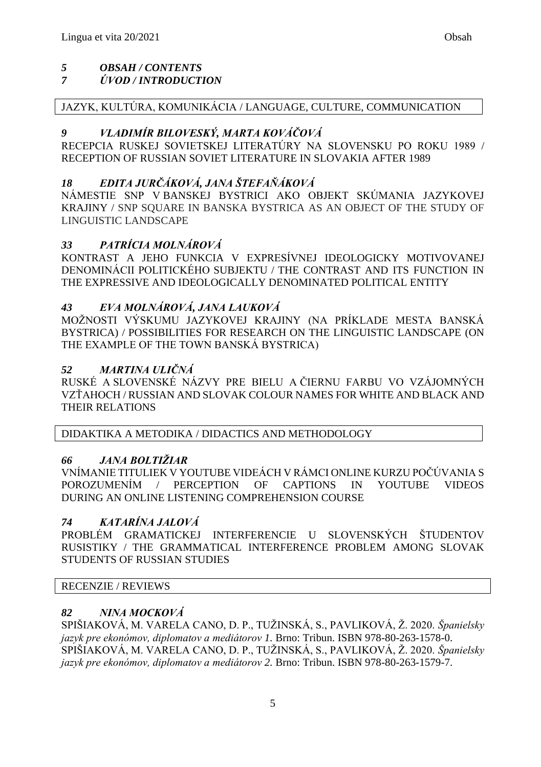# *5 OBSAH / CONTENTS*

## *7 ÚVOD / INTRODUCTION*

### JAZYK, KULTÚRA, KOMUNIKÁCIA / LANGUAGE, CULTURE, COMMUNICATION

### *9 VLADIMÍR BILOVESKÝ, MARTA KOVÁČOVÁ*

RECEPCIA RUSKEJ SOVIETSKEJ LITERATÚRY NA SLOVENSKU PO ROKU 1989 / RECEPTION OF RUSSIAN SOVIET LITERATURE IN SLOVAKIA AFTER 1989

## *18 EDITA JURČÁKOVÁ, JANA ŠTEFAŇÁKOVÁ*

NÁMESTIE SNP V BANSKEJ BYSTRICI AKO OBJEKT SKÚMANIA JAZYKOVEJ KRAJINY / SNP SQUARE IN BANSKA BYSTRICA AS AN OBJECT OF THE STUDY OF LINGUISTIC LANDSCAPE

### *33 PATRÍCIA MOLNÁROVÁ*

KONTRAST A JEHO FUNKCIA V EXPRESÍVNEJ IDEOLOGICKY MOTIVOVANEJ DENOMINÁCII POLITICKÉHO SUBJEKTU / THE CONTRAST AND ITS FUNCTION IN THE EXPRESSIVE AND IDEOLOGICALLY DENOMINATED POLITICAL ENTITY

### *43 EVA MOLNÁROVÁ, JANA LAUKOVÁ*

MOŽNOSTI VÝSKUMU JAZYKOVEJ KRAJINY (NA PRÍKLADE MESTA BANSKÁ BYSTRICA) / POSSIBILITIES FOR RESEARCH ON THE LINGUISTIC LANDSCAPE (ON THE EXAMPLE OF THE TOWN BANSKÁ BYSTRICA)

### *52 MARTINA ULIČNÁ*

RUSKÉ A SLOVENSKÉ NÁZVY PRE BIELU A ČIERNU FARBU VO VZÁJOMNÝCH VZŤAHOCH / RUSSIAN AND SLOVAK COLOUR NAMES FOR WHITE AND BLACK AND THEIR RELATIONS

DIDAKTIKA A METODIKA / DIDACTICS AND METHODOLOGY

### *66 JANA BOLTIŽIAR*

VNÍMANIE TITULIEK V YOUTUBE VIDEÁCH V RÁMCI ONLINE KURZU POČÚVANIA S POROZUMENÍM / PERCEPTION OF CAPTIONS IN YOUTUBE VIDEOS DURING AN ONLINE LISTENING COMPREHENSION COURSE

### *74 KATARÍNA JALOVÁ*

PROBLÉM GRAMATICKEJ INTERFERENCIE U SLOVENSKÝCH ŠTUDENTOV RUSISTIKY / THE GRAMMATICAL INTERFERENCE PROBLEM AMONG SLOVAK STUDENTS OF RUSSIAN STUDIES

### RECENZIE / REVIEWS

### *82 NINA MOCKOVÁ*

SPIŠIAKOVÁ, M. VARELA CANO, D. P., TUŽINSKÁ, S., PAVLIKOVÁ, Ž. 2020. *Španielsky jazyk pre ekonómov, diplomatov a mediátorov 1.* Brno: Tribun. ISBN 978-80-263-1578-0. SPIŠIAKOVÁ, M. VARELA CANO, D. P., TUŽINSKÁ, S., PAVLIKOVÁ, Ž. 2020. *Španielsky jazyk pre ekonómov, diplomatov a mediátorov 2.* Brno: Tribun. ISBN 978-80-263-1579-7.